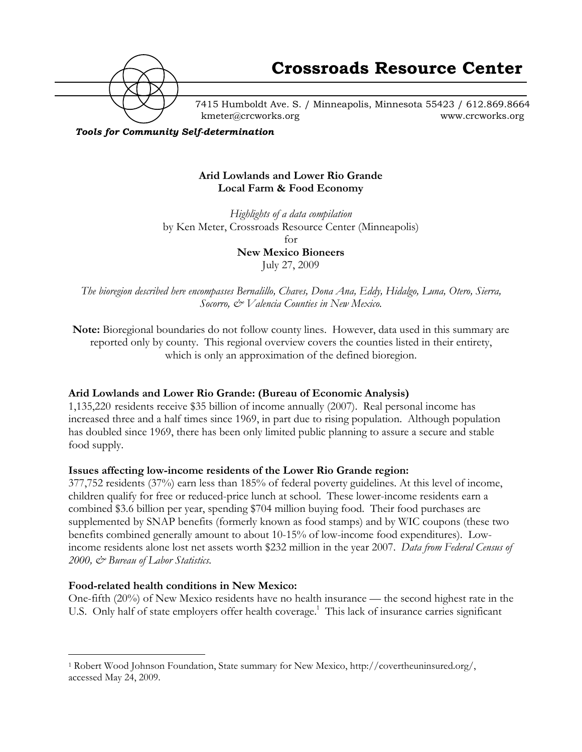

7415 Humboldt Ave. S. / Minneapolis, Minnesota 55423 / 612.869.8664 kmeter@crcworks.org www.crcworks.org

*Tools for Community Self-determination*

#### **Arid Lowlands and Lower Rio Grande Local Farm & Food Economy**

*Highlights of a data compilation* by Ken Meter, Crossroads Resource Center (Minneapolis) for **New Mexico Bioneers**

July 27, 2009

*The bioregion described here encompasses Bernalillo, Chaves, Dona Ana, Eddy, Hidalgo, Luna, Otero, Sierra, Socorro, & Valencia Counties in New Mexico.*

**Note:** Bioregional boundaries do not follow county lines. However, data used in this summary are reported only by county. This regional overview covers the counties listed in their entirety, which is only an approximation of the defined bioregion.

#### **Arid Lowlands and Lower Rio Grande: (Bureau of Economic Analysis)**

1,135,220 residents receive \$35 billion of income annually (2007). Real personal income has increased three and a half times since 1969, in part due to rising population. Although population has doubled since 1969, there has been only limited public planning to assure a secure and stable food supply.

#### **Issues affecting low-income residents of the Lower Rio Grande region:**

377,752 residents (37%) earn less than 185% of federal poverty guidelines. At this level of income, children qualify for free or reduced-price lunch at school. These lower-income residents earn a combined \$3.6 billion per year, spending \$704 million buying food. Their food purchases are supplemented by SNAP benefits (formerly known as food stamps) and by WIC coupons (these two benefits combined generally amount to about 10-15% of low-income food expenditures). Lowincome residents alone lost net assets worth \$232 million in the year 2007. *Data from Federal Census of 2000, & Bureau of Labor Statistics.*

#### **Food-related health conditions in New Mexico:**

One-fifth (20%) of New Mexico residents have no health insurance — the second highest rate in the U.S. Only half of state employers offer health coverage.<sup>1</sup> This lack of insurance carries significant

 <sup>1</sup> Robert Wood Johnson Foundation, State summary for New Mexico, http://covertheuninsured.org/, accessed May 24, 2009.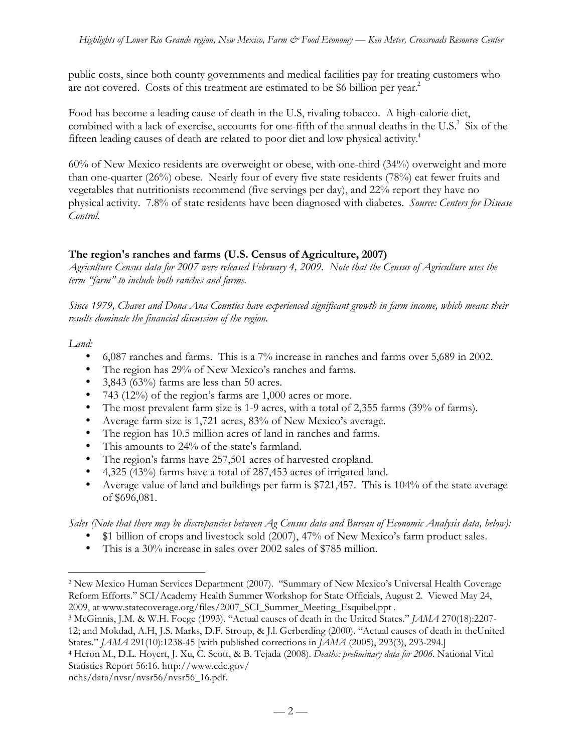public costs, since both county governments and medical facilities pay for treating customers who are not covered. Costs of this treatment are estimated to be \$6 billion per year.<sup>2</sup>

Food has become a leading cause of death in the U.S, rivaling tobacco. A high-calorie diet, combined with a lack of exercise, accounts for one-fifth of the annual deaths in the U.S.<sup>3</sup> Six of the fifteen leading causes of death are related to poor diet and low physical activity.4

60% of New Mexico residents are overweight or obese, with one-third (34%) overweight and more than one-quarter (26%) obese. Nearly four of every five state residents (78%) eat fewer fruits and vegetables that nutritionists recommend (five servings per day), and 22% report they have no physical activity. 7.8% of state residents have been diagnosed with diabetes. *Source: Centers for Disease Control.*

### **The region's ranches and farms (U.S. Census of Agriculture, 2007)**

*Agriculture Census data for 2007 were released February 4, 2009. Note that the Census of Agriculture uses the term "farm" to include both ranches and farms.*

*Since 1979, Chaves and Dona Ana Counties have experienced significant growth in farm income, which means their results dominate the financial discussion of the region.*

*Land:*

6,087 ranches and farms. This is a 7% increase in ranches and farms over 5,689 in 2002. The region has 29% of New Mexico's ranches and farms. 3,843 (63%) farms are less than 50 acres. 743 (12%) of the region's farms are 1,000 acres or more. The most prevalent farm size is 1-9 acres, with a total of 2,355 farms (39% of farms). Average farm size is 1,721 acres, 83% of New Mexico's average. The region has 10.5 million acres of land in ranches and farms. This amounts to 24% of the state's farmland. The region's farms have 257,501 acres of harvested cropland. 4,325 (43%) farms have a total of 287,453 acres of irrigated land. Average value of land and buildings per farm is \$721,457. This is 104% of the state average of \$696,081.

*Sales (Note that there may be discrepancies between Ag Census data and Bureau of Economic Analysis data, below):* \$1 billion of crops and livestock sold (2007), 47% of New Mexico's farm product sales. This is a 30% increase in sales over 2002 sales of \$785 million.

 <sup>2</sup> New Mexico Human Services Department (2007). "Summary of New Mexico's Universal Health Coverage Reform Efforts." SCI/Academy Health Summer Workshop for State Officials, August 2. Viewed May 24, 2009, at www.statecoverage.org/files/2007\_SCI\_Summer\_Meeting\_Esquibel.ppt .

<sup>3</sup> McGinnis, J.M. & W.H. Foege (1993). "Actual causes of death in the United States." *JAMA* 270(18):2207- 12; and Mokdad, A.H, J.S. Marks, D.F. Stroup, & J.l. Gerberding (2000). "Actual causes of death in theUnited States." *JAMA* 291(10):1238-45 [with published corrections in *JAMA* (2005), 293(3), 293-294.]

<sup>4</sup> Heron M., D.L. Hoyert, J. Xu, C. Scott, & B. Tejada (2008). *Deaths: preliminary data for 2006.* National Vital Statistics Report 56:16. http://www.cdc.gov/

nchs/data/nvsr/nvsr56/nvsr56\_16.pdf.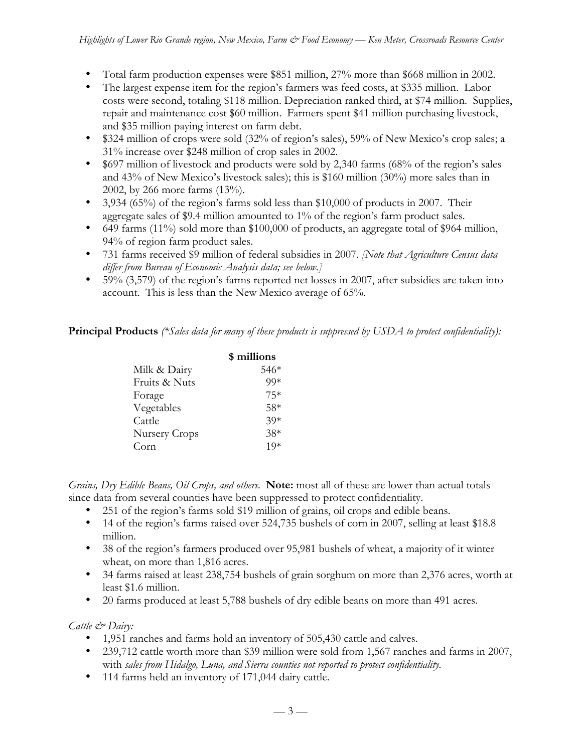Total farm production expenses were \$851 million, 27% more than \$668 million in 2002. The largest expense item for the region's farmers was feed costs, at \$335 million. Labor costs were second, totaling \$118 million. Depreciation ranked third, at \$74 million. Supplies, repair and maintenance cost \$60 million. Farmers spent \$41 million purchasing livestock, and \$35 million paying interest on farm debt.

\$324 million of crops were sold (32% of region's sales), 59% of New Mexico's crop sales; a 31% increase over \$248 million of crop sales in 2002.

\$697 million of livestock and products were sold by 2,340 farms (68% of the region's sales and 43% of New Mexico's livestock sales); this is \$160 million (30%) more sales than in 2002, by 266 more farms (13%).

3,934 (65%) of the region's farms sold less than \$10,000 of products in 2007. Their aggregate sales of \$9.4 million amounted to 1% of the region's farm product sales. 649 farms (11%) sold more than \$100,000 of products, an aggregate total of \$964 million, 94% of region farm product sales.

731 farms received \$9 million of federal subsidies in 2007. *[Note that Agriculture Census data differ from Bureau of Economic Analysis data; see below.]*

59% (3,579) of the region's farms reported net losses in 2007, after subsidies are taken into account. This is less than the New Mexico average of 65%.

**Principal Products** *(\*Sales data for many of these products is suppressed by USDA to protect confidentiality):*

|               | \$ millions |
|---------------|-------------|
| Milk & Dairy  | 546*        |
| Fruits & Nuts | $99*$       |
| Forage        | $75*$       |
| Vegetables    | $58*$       |
| Cattle        | $30*$       |
| Nursery Crops | $38*$       |
| Corn          | 10*         |

*Grains, Dry Edible Beans, Oil Crops, and others.* **Note:** most all of these are lower than actual totals since data from several counties have been suppressed to protect confidentiality.

251 of the region's farms sold \$19 million of grains, oil crops and edible beans.

14 of the region's farms raised over 524,735 bushels of corn in 2007, selling at least \$18.8 million.

38 of the region's farmers produced over 95,981 bushels of wheat, a majority of it winter wheat, on more than 1,816 acres.

34 farms raised at least 238,754 bushels of grain sorghum on more than 2,376 acres, worth at least \$1.6 million.

20 farms produced at least 5,788 bushels of dry edible beans on more than 491 acres.

*Cattle & Dairy:*

1,951 ranches and farms hold an inventory of 505,430 cattle and calves. 239,712 cattle worth more than \$39 million were sold from 1,567 ranches and farms in 2007, with *sales from Hidalgo, Luna, and Sierra counties not reported to protect confidentiality.* 114 farms held an inventory of 171,044 dairy cattle.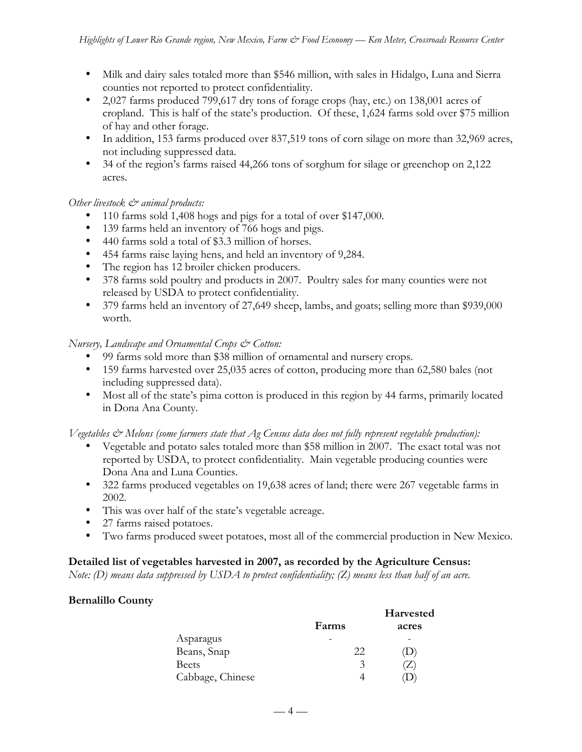Milk and dairy sales totaled more than \$546 million, with sales in Hidalgo, Luna and Sierra counties not reported to protect confidentiality.

2,027 farms produced 799,617 dry tons of forage crops (hay, etc.) on 138,001 acres of cropland. This is half of the state's production. Of these, 1,624 farms sold over \$75 million of hay and other forage.

In addition, 153 farms produced over 837,519 tons of corn silage on more than 32,969 acres, not including suppressed data.

34 of the region's farms raised 44,266 tons of sorghum for silage or greenchop on 2,122 acres.

*Other livestock*  $\mathcal{O}^*$  animal products:

110 farms sold 1,408 hogs and pigs for a total of over \$147,000.

139 farms held an inventory of 766 hogs and pigs.

440 farms sold a total of \$3.3 million of horses.

454 farms raise laying hens, and held an inventory of 9,284.

The region has 12 broiler chicken producers.

378 farms sold poultry and products in 2007. Poultry sales for many counties were not released by USDA to protect confidentiality.

379 farms held an inventory of 27,649 sheep, lambs, and goats; selling more than \$939,000 worth.

*Nursery, Landscape and Ornamental Crops & Cotton:*

99 farms sold more than \$38 million of ornamental and nursery crops.

159 farms harvested over 25,035 acres of cotton, producing more than 62,580 bales (not including suppressed data).

Most all of the state's pima cotton is produced in this region by 44 farms, primarily located in Dona Ana County.

*Vegetables & Melons (some farmers state that Ag Census data does not fully represent vegetable production):*

Vegetable and potato sales totaled more than \$58 million in 2007. The exact total was not reported by USDA, to protect confidentiality. Main vegetable producing counties were Dona Ana and Luna Counties.

322 farms produced vegetables on 19,638 acres of land; there were 267 vegetable farms in 2002.

This was over half of the state's vegetable acreage.

27 farms raised potatoes.

Two farms produced sweet potatoes, most all of the commercial production in New Mexico.

#### **Detailed list of vegetables harvested in 2007, as recorded by the Agriculture Census:**

*Note: (D) means data suppressed by USDA to protect confidentiality; (Z) means less than half of an acre.*

#### **Bernalillo County**

|                  |       | Harvested                  |
|------------------|-------|----------------------------|
|                  | Farms | acres                      |
| Asparagus        |       |                            |
| Beans, Snap      | 22    | $\left( \mathrm{L}\right)$ |
| <b>Beets</b>     | 3     | $\mathcal{L}$              |
| Cabbage, Chinese |       |                            |

 $-4-$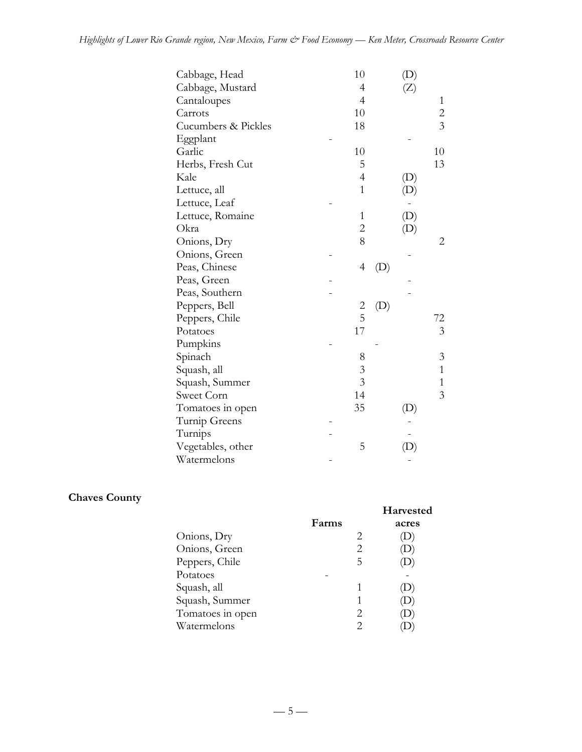| Cabbage, Head       | 10             |     |                            |                |
|---------------------|----------------|-----|----------------------------|----------------|
| Cabbage, Mustard    | $\overline{4}$ |     | $(\mathsf{Z})$             |                |
| Cantaloupes         | $\overline{4}$ |     |                            | $\mathbf{1}$   |
| Carrots             | 10             |     |                            | $\overline{c}$ |
| Cucumbers & Pickles | 18             |     |                            | $\overline{3}$ |
| Eggplant            |                |     |                            |                |
| Garlic              | 10             |     |                            | 10             |
| Herbs, Fresh Cut    | 5              |     |                            | 13             |
| Kale                | $\overline{4}$ |     | (D)                        |                |
| Lettuce, all        | $\mathbf{1}$   |     | (D)                        |                |
| Lettuce, Leaf       |                |     |                            |                |
| Lettuce, Romaine    | $\mathbf{1}$   |     | $\left( \mathrm{D}\right)$ |                |
| Okra                | $\overline{2}$ |     | $\left( \mathrm{D}\right)$ |                |
| Onions, Dry         | 8              |     |                            | 2              |
| Onions, Green       |                |     |                            |                |
| Peas, Chinese       | $\overline{4}$ | (D) |                            |                |
| Peas, Green         |                |     |                            |                |
| Peas, Southern      |                |     |                            |                |
| Peppers, Bell       |                | (D) |                            |                |
| Peppers, Chile      | $\frac{2}{5}$  |     |                            | 72             |
| Potatoes            | 17             |     |                            | 3              |
| Pumpkins            |                |     |                            |                |
| Spinach             | 8              |     |                            | 3              |
| Squash, all         | 3              |     |                            | $\mathbf{1}$   |
| Squash, Summer      | 3              |     |                            | 1              |
| Sweet Corn          | 14             |     |                            | 3              |
| Tomatoes in open    | 35             |     | (D)                        |                |
| Turnip Greens       |                |     |                            |                |
| Turnips             |                |     |                            |                |
| Vegetables, other   | 5              |     | (D)                        |                |
| Watermelons         |                |     |                            |                |

## **Chaves County**

|                  | Farms |    | <b>Harvested</b><br>acres |
|------------------|-------|----|---------------------------|
| Onions, Dry      |       | 2  |                           |
| Onions, Green    |       | 2  |                           |
| Peppers, Chile   |       | 5  |                           |
| Potatoes         |       |    |                           |
| Squash, all      |       | 1  |                           |
| Squash, Summer   |       |    |                           |
| Tomatoes in open |       | 2. |                           |
| Watermelons      |       | 2  |                           |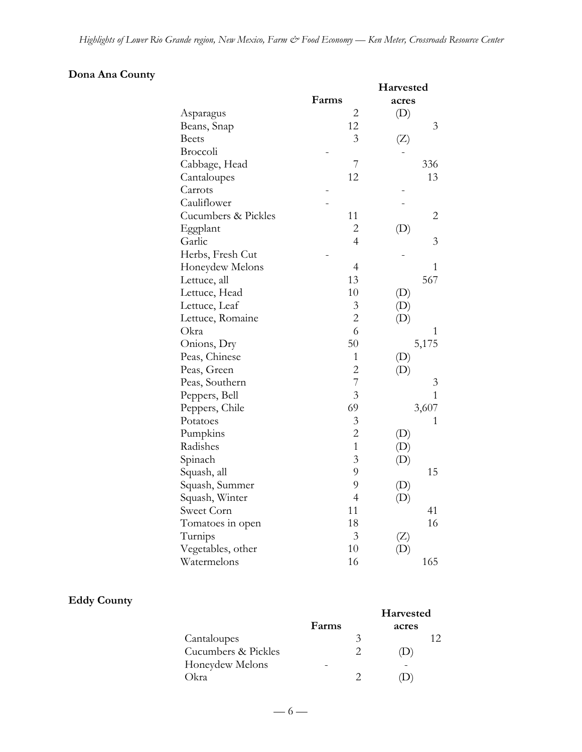## **Dona Ana County**

|                     |                | Harvested                  |
|---------------------|----------------|----------------------------|
|                     | Farms          | acres                      |
| Asparagus           | $\overline{c}$ | (D)                        |
| Beans, Snap         | 12             | 3                          |
| <b>Beets</b>        | 3              | (Z)                        |
| Broccoli            |                |                            |
| Cabbage, Head       | 7              | 336                        |
| Cantaloupes         | 12             | 13                         |
| Carrots             |                |                            |
| Cauliflower         |                |                            |
| Cucumbers & Pickles | 11             | 2                          |
| Eggplant            | $\overline{c}$ | (D)                        |
| Garlic              | $\overline{4}$ | 3                          |
| Herbs, Fresh Cut    |                |                            |
| Honeydew Melons     | $\overline{4}$ | 1                          |
| Lettuce, all        | 13             | 567                        |
| Lettuce, Head       | 10             | (D)                        |
| Lettuce, Leaf       | 3              | (D)                        |
| Lettuce, Romaine    | $\overline{c}$ | (D)                        |
| Okra                | 6              | 1                          |
| Onions, Dry         | 50             | 5,175                      |
| Peas, Chinese       | 1              | (D)                        |
| Peas, Green         | $\overline{c}$ | (D)                        |
| Peas, Southern      | 7              | 3                          |
| Peppers, Bell       | $\overline{3}$ | 1                          |
| Peppers, Chile      | 69             | 3,607                      |
| Potatoes            | 3              | 1                          |
| Pumpkins            | $\overline{2}$ | $\left( \mathrm{D}\right)$ |
| Radishes            | $\overline{1}$ | (D)                        |
| Spinach             | 3              | (D)                        |
| Squash, all         | 9              | 15                         |
| Squash, Summer      | 9              | (D)                        |
| Squash, Winter      | $\overline{4}$ | (D)                        |
| Sweet Corn          | 11             | 41                         |
| Tomatoes in open    | 18             | 16                         |
| Turnips             | 3              | $(\mathbf{Z})$             |
| Vegetables, other   | 10             |                            |
| Watermelons         | 16             | 165                        |

### **Eddy County**

|                     |       |   | Harvested |  |
|---------------------|-------|---|-----------|--|
|                     | Farms |   | acres     |  |
| Cantaloupes         |       | 3 |           |  |
| Cucumbers & Pickles |       |   |           |  |
| Honeydew Melons     |       |   |           |  |
| Okra                |       |   |           |  |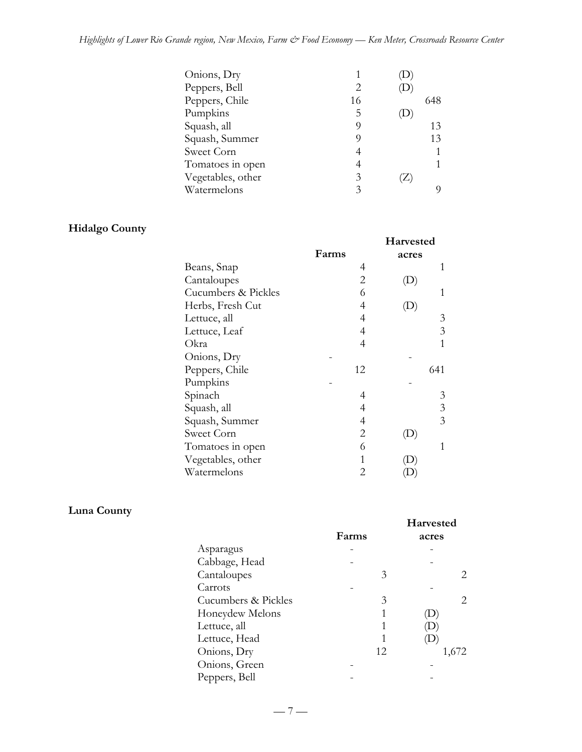| Peppers, Bell<br>Peppers, Chile<br>16<br>648 |
|----------------------------------------------|
|                                              |
|                                              |
| Pumpkins<br>5                                |
| Squash, all<br>13                            |
| Squash, Summer<br>13<br>O)                   |
| Sweet Corn                                   |
| Tomatoes in open                             |
| Vegetables, other<br>3                       |
| Watermelons<br>3<br>O)                       |

## **Hidalgo County**

|                     | Farms | Harvested<br>acres         |
|---------------------|-------|----------------------------|
| Beans, Snap         | 4     |                            |
| Cantaloupes         | 2     | $\left( \mathrm{D}\right)$ |
| Cucumbers & Pickles | 6     | 1                          |
| Herbs, Fresh Cut    | 4     |                            |
| Lettuce, all        | 4     | 3                          |
| Lettuce, Leaf       | 4     | 3                          |
| Okra                | 4     | 1                          |
| Onions, Dry         |       |                            |
| Peppers, Chile      | 12    | 641                        |
| Pumpkins            |       |                            |
| Spinach             | 4     | 3                          |
| Squash, all         | 4     | 3                          |
| Squash, Summer      | 4     | 3                          |
| Sweet Corn          | 2     | $\Box$                     |
| Tomatoes in open    | 6     | 1                          |
| Vegetables, other   | 1     |                            |
| Watermelons         | 2     |                            |

### **Luna County**

|                     | Farms | <b>Harvested</b><br>acres |
|---------------------|-------|---------------------------|
| Asparagus           |       |                           |
| Cabbage, Head       |       |                           |
| Cantaloupes         | 3     |                           |
| Carrots             |       |                           |
| Cucumbers & Pickles | 3     | 2.                        |
| Honeydew Melons     |       |                           |
| Lettuce, all        |       |                           |
| Lettuce, Head       |       | D                         |
| Onions, Dry         | 12    | 1,672                     |
| Onions, Green       |       |                           |
| Peppers, Bell       |       |                           |

 $-7-$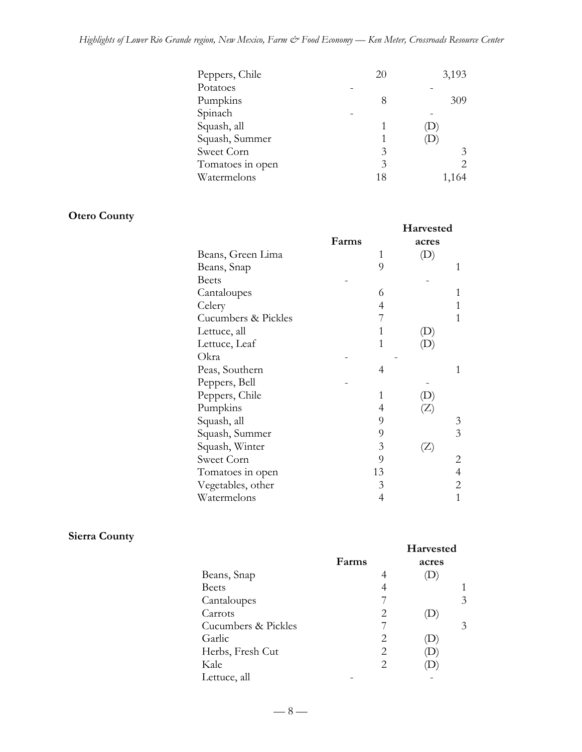| Peppers, Chile   | 20 | 3,193 |
|------------------|----|-------|
| Potatoes         |    |       |
| Pumpkins         | 8  | 309   |
| Spinach          |    |       |
| Squash, all      |    | D     |
| Squash, Summer   |    | ۰D    |
| Sweet Corn       | 3  | 3     |
| Tomatoes in open | 3  |       |
| Watermelons      | 18 | 1,164 |

## **Otero County**

|                     |       |   | Harvested      |                |
|---------------------|-------|---|----------------|----------------|
|                     | Farms |   | acres          |                |
| Beans, Green Lima   |       | 1 |                |                |
| Beans, Snap         |       | 9 |                | 1              |
| <b>Beets</b>        |       |   |                |                |
| Cantaloupes         |       | 6 |                | 1              |
| Celery              |       | 4 |                |                |
| Cucumbers & Pickles |       | 7 |                | 1              |
| Lettuce, all        |       |   |                |                |
| Lettuce, Leaf       |       | 1 |                |                |
| Okra                |       |   |                |                |
| Peas, Southern      |       | 4 |                | 1              |
| Peppers, Bell       |       |   |                |                |
| Peppers, Chile      |       | 1 |                |                |
| Pumpkins            |       | 4 |                |                |
| Squash, all         |       | 9 |                | 3              |
| Squash, Summer      |       | 9 |                | 3              |
| Squash, Winter      |       | 3 | $(\mathbb{Z})$ |                |
| Sweet Corn          |       | 9 |                | 2              |
| Tomatoes in open    | 13    |   |                | $\overline{4}$ |
| Vegetables, other   |       | 3 |                | 2              |
| Watermelons         |       | 4 |                | 1              |

## **Sierra County**

|                     | Farms | <b>Harvested</b><br>acres |   |
|---------------------|-------|---------------------------|---|
| Beans, Snap         | 4     |                           |   |
| <b>Beets</b>        |       |                           |   |
| Cantaloupes         |       |                           | 3 |
| Carrots             | 2     |                           |   |
| Cucumbers & Pickles |       |                           | 3 |
| Garlic              | 2     |                           |   |
| Herbs, Fresh Cut    | 2     |                           |   |
| Kale                | 2     |                           |   |
| Lettuce, all        |       |                           |   |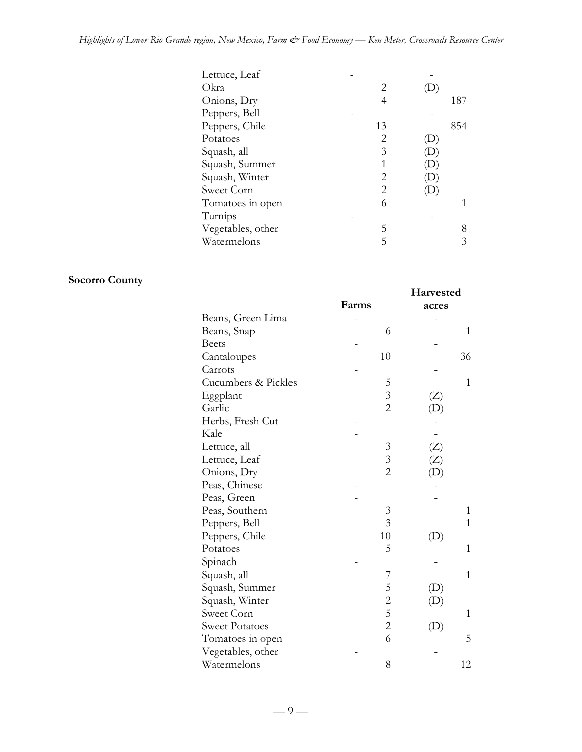## *Highlights of Lower Rio Grande region, New Mexico, Farm & Food Economy — Ken Meter, Crossroads Resource Center*

| Lettuce, Leaf     |    |     |
|-------------------|----|-----|
| Okra              | 2  |     |
| Onions, Dry       | 4  | 187 |
| Peppers, Bell     |    |     |
| Peppers, Chile    | 13 | 854 |
| Potatoes          | 2  |     |
| Squash, all       | 3  |     |
| Squash, Summer    | 1  |     |
| Squash, Winter    | 2  |     |
| Sweet Corn        | 2  |     |
| Tomatoes in open  | 6  |     |
| Turnips           |    |     |
| Vegetables, other | 5  | 8   |
| Watermelons       | 5  |     |
|                   |    |     |

## **Socorro County**

|                       |                | Harvested                  |  |
|-----------------------|----------------|----------------------------|--|
|                       | Farms          | acres                      |  |
| Beans, Green Lima     |                |                            |  |
| Beans, Snap           | 6              | 1                          |  |
| <b>Beets</b>          |                |                            |  |
| Cantaloupes           | 10             | 36                         |  |
| Carrots               |                |                            |  |
| Cucumbers & Pickles   | 5              | $\overline{1}$             |  |
| Eggplant              | $\overline{3}$ | (Z)                        |  |
| Garlic                | $\overline{2}$ | (D)                        |  |
| Herbs, Fresh Cut      |                |                            |  |
| Kale                  |                |                            |  |
| Lettuce, all          | 3              | (Z)                        |  |
| Lettuce, Leaf         | $\mathfrak{Z}$ | $\left(  \right)$          |  |
| Onions, Dry           | $\overline{c}$ |                            |  |
| Peas, Chinese         |                |                            |  |
| Peas, Green           |                |                            |  |
| Peas, Southern        | $\mathfrak{Z}$ | 1                          |  |
| Peppers, Bell         | $\overline{3}$ | 1                          |  |
| Peppers, Chile        | 10             | (L)                        |  |
| Potatoes              | 5              | 1                          |  |
| Spinach               |                |                            |  |
| Squash, all           | 7              | 1                          |  |
| Squash, Summer        | 5              | $\left( \mathrm{D}\right)$ |  |
| Squash, Winter        |                | (D)                        |  |
| Sweet Corn            | $rac{2}{5}$    | $\mathbf{1}$               |  |
| <b>Sweet Potatoes</b> | $\overline{c}$ | $\left( \mathrm{D}\right)$ |  |
| Tomatoes in open      | 6              | 5                          |  |
| Vegetables, other     |                |                            |  |
| Watermelons           | 8              | 12                         |  |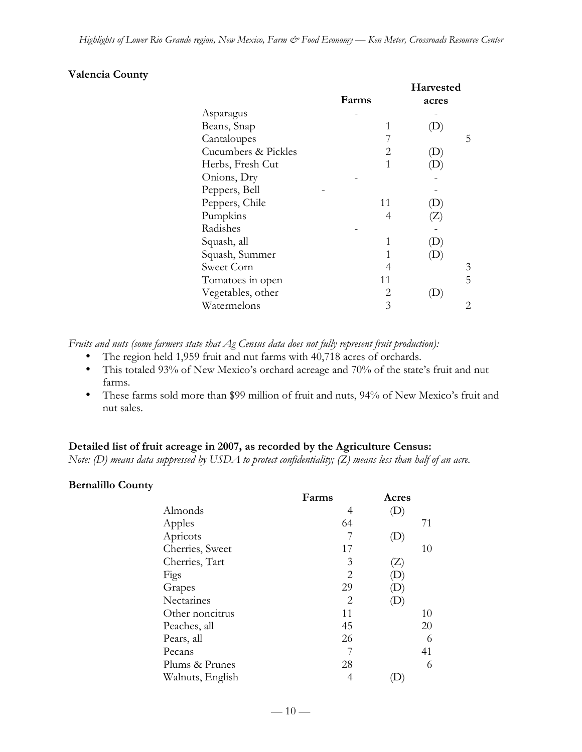#### **Valencia County**

|                     |                             | Harvested |  |
|---------------------|-----------------------------|-----------|--|
|                     | Farms                       | acres     |  |
| Asparagus           |                             |           |  |
| Beans, Snap         | 1                           |           |  |
| Cantaloupes         |                             | 5         |  |
| Cucumbers & Pickles | 2                           | (D)       |  |
| Herbs, Fresh Cut    | 1                           |           |  |
| Onions, Dry         |                             |           |  |
| Peppers, Bell       |                             |           |  |
| Peppers, Chile      | 11                          | D)        |  |
| Pumpkins            | 4                           | (Z)       |  |
| Radishes            |                             |           |  |
| Squash, all         | 1                           |           |  |
| Squash, Summer      | 1                           |           |  |
| Sweet Corn          | 4                           | 3         |  |
| Tomatoes in open    | 11                          | 5         |  |
| Vegetables, other   | $\mathcal{D}_{\mathcal{L}}$ | D         |  |
| Watermelons         | 3                           |           |  |

*Fruits and nuts (some farmers state that Ag Census data does not fully represent fruit production):*

The region held 1,959 fruit and nut farms with 40,718 acres of orchards.

This totaled 93% of New Mexico's orchard acreage and 70% of the state's fruit and nut farms.

These farms sold more than \$99 million of fruit and nuts, 94% of New Mexico's fruit and nut sales.

#### **Detailed list of fruit acreage in 2007, as recorded by the Agriculture Census:**

*Note: (D) means data suppressed by USDA to protect confidentiality; (Z) means less than half of an acre.*

#### **Bernalillo County**

|                  | Farms | Acres                      |
|------------------|-------|----------------------------|
| Almonds          | 4     | $\left( \mathrm{D}\right)$ |
| Apples           | 64    | 71                         |
| Apricots         | 7     | $\left( \mathrm{D}\right)$ |
| Cherries, Sweet  | 17    | 10                         |
| Cherries, Tart   | 3     | $(\angle)$                 |
| Figs             | 2     | D                          |
| Grapes           | 29    | D)                         |
| Nectarines       | 2     |                            |
| Other noncitrus  | 11    | 10                         |
| Peaches, all     | 45    | 20                         |
| Pears, all       | 26    | 6                          |
| Pecans           |       | 41                         |
| Plums & Prunes   | 28    | 6                          |
| Walnuts, English |       |                            |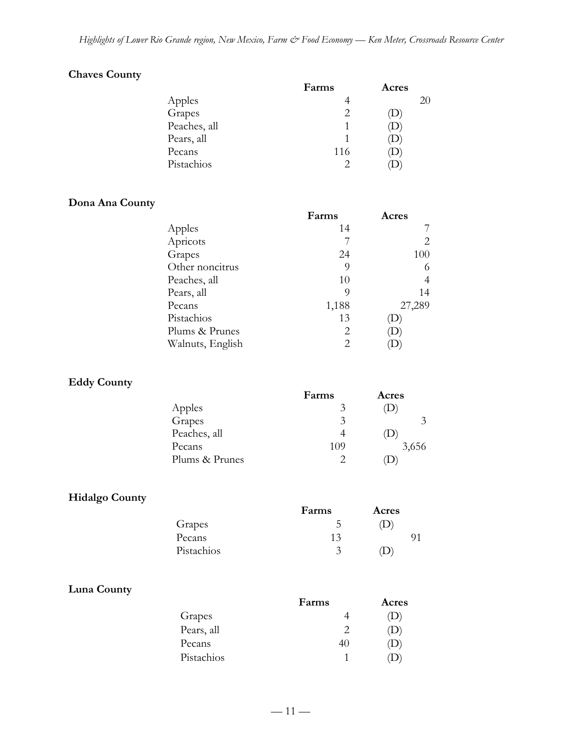## **Chaves County**

|              | Farms | Acres |
|--------------|-------|-------|
| Apples       |       | 20    |
| Grapes       |       | (D    |
| Peaches, all |       | ⊃     |
| Pears, all   |       | (D    |
| Pecans       | 116   | ⅅ     |
| Pistachios   |       |       |

### **Dona Ana County**

| Farms | Acres        |
|-------|--------------|
| 14    |              |
|       |              |
| 24    | 100          |
| 9     | 6            |
| 10    |              |
| 9     | 14           |
| 1,188 | 27,289       |
| 13    | $\mathbf{D}$ |
| 2     | D            |
| 2     |              |
|       |              |

### **Eddy County**

|                | Farms | Acres |
|----------------|-------|-------|
| Apples         | 3     |       |
| Grapes         | 3     |       |
| Peaches, all   |       | D     |
| Pecans         | 109   | 3,656 |
| Plums & Prunes |       |       |

## **Hidalgo County**

|            | Farms | Acres |
|------------|-------|-------|
| Grapes     |       | D)    |
| Pecans     | 13    |       |
| Pistachios | 3     |       |

### **Luna County**

|            | Farms | Acres |
|------------|-------|-------|
| Grapes     |       | D     |
| Pears, all |       |       |
| Pecans     | 4U    | D     |
| Pistachios |       |       |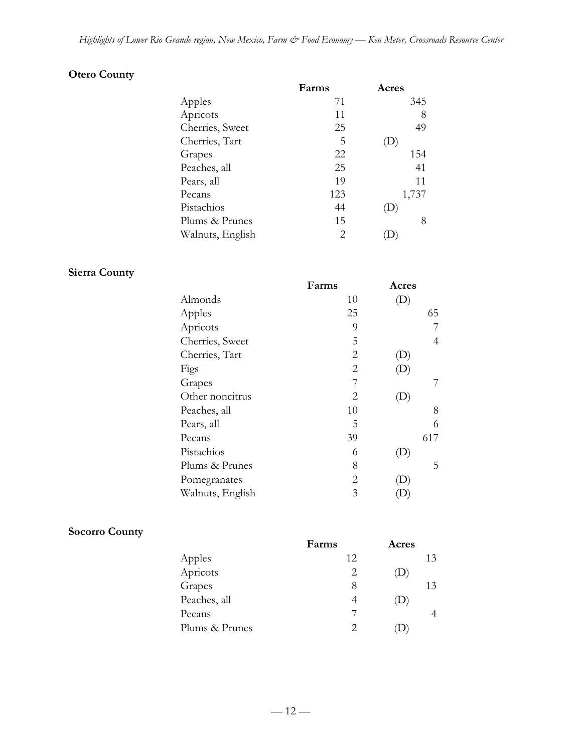## **Otero County**

| Farms | Acres |
|-------|-------|
| 71    | 345   |
| 11    | 8     |
| 25    | 49    |
| 5     |       |
| 22    | 154   |
| 25    | 41    |
| 19    | 11    |
| 123   | 1,737 |
| 44    |       |
| 15    | 8     |
| 2     |       |
|       |       |

## **Sierra County**

|                  | Farms          | Acres                      |
|------------------|----------------|----------------------------|
| Almonds          | 10             | 'D                         |
| Apples           | 25             | 65                         |
| Apricots         | 9              |                            |
| Cherries, Sweet  | 5              | 4                          |
| Cherries, Tart   | $\overline{2}$ | $\left(\mathrm{D}\right)$  |
| Figs             | 2              | (D)                        |
| Grapes           | 7              |                            |
| Other noncitrus  | 2              | $\left(\mathbf{D}\right)$  |
| Peaches, all     | 10             | 8                          |
| Pears, all       | 5              | 6                          |
| Pecans           | 39             | 617                        |
| Pistachios       | 6              | $\left( \mathrm{D}\right)$ |
| Plums & Prunes   | 8              | 5                          |
| Pomegranates     | 2              | $\cup$                     |
| Walnuts, English | 3              |                            |
|                  |                |                            |

## **Socorro County**

|                | Farms | Acres        |    |
|----------------|-------|--------------|----|
| Apples         | 12    |              | 13 |
| Apricots       | 2     | $\mathbf{D}$ |    |
| Grapes         | 8     |              | 13 |
| Peaches, all   | 4     | $\mathbf{D}$ |    |
| Pecans         |       |              |    |
| Plums & Prunes |       |              |    |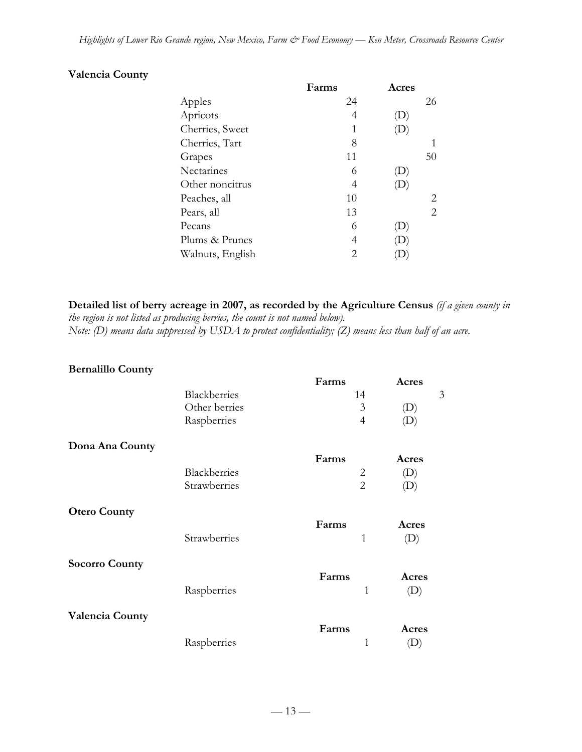### **Valencia County**

|                  | Farms          | Acres                      |    |
|------------------|----------------|----------------------------|----|
| Apples           | 24             |                            | 26 |
| Apricots         | 4              | D                          |    |
| Cherries, Sweet  | 1              |                            |    |
| Cherries, Tart   | 8              |                            |    |
| Grapes           | 11             |                            | 50 |
| Nectarines       | 6              | $\left( \mathrm{L}\right)$ |    |
| Other noncitrus  | 4              | $\left( \mathrm{D}\right)$ |    |
| Peaches, all     | 10             |                            | 2  |
| Pears, all       | 13             |                            | 2  |
| Pecans           | 6              |                            |    |
| Plums & Prunes   | 4              |                            |    |
| Walnuts, English | $\overline{2}$ |                            |    |
|                  |                |                            |    |

**Detailed list of berry acreage in 2007, as recorded by the Agriculture Census** *(if a given county in the region is not listed as producing berries, the count is not named below). Note: (D) means data suppressed by USDA to protect confidentiality; (Z) means less than half of an acre.*

## **Bernalillo County**

|                        |               | Farms          | Acres                      |
|------------------------|---------------|----------------|----------------------------|
|                        | Blackberries  | 14             | 3                          |
|                        | Other berries | 3              | $\left( \mathrm{D}\right)$ |
|                        | Raspberries   | $\overline{4}$ | $\left( \mathrm{D}\right)$ |
| Dona Ana County        |               |                |                            |
|                        |               | Farms          | Acres                      |
|                        | Blackberries  | $\overline{2}$ | $\left( \mathrm{D}\right)$ |
|                        | Strawberries  | $\overline{2}$ | (D)                        |
| <b>Otero County</b>    |               |                |                            |
|                        |               | Farms          | Acres                      |
|                        | Strawberries  | $\mathbf{1}$   | (D)                        |
| <b>Socorro County</b>  |               |                |                            |
|                        |               | Farms          | Acres                      |
|                        | Raspberries   | 1              | (D)                        |
| <b>Valencia County</b> |               |                |                            |
|                        |               | Farms          | Acres                      |
|                        | Raspberries   | $\mathbf{1}$   | (D)                        |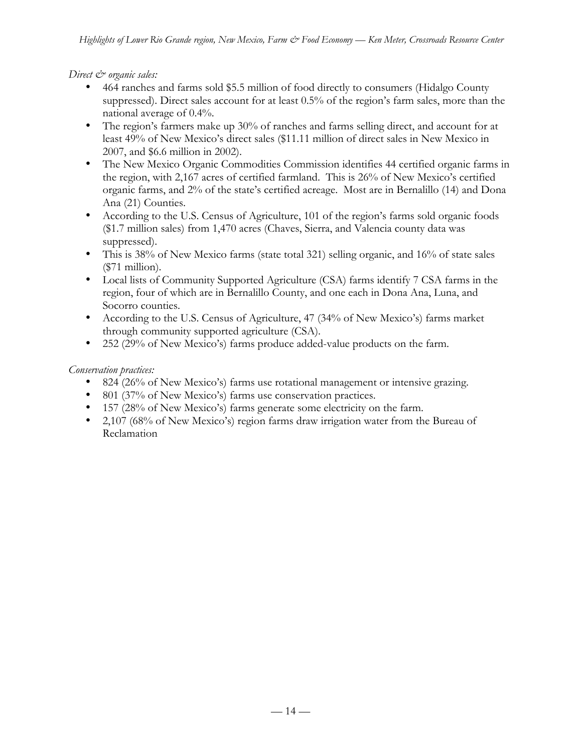*Direct*  $\mathcal{Q}$  organic sales:

464 ranches and farms sold \$5.5 million of food directly to consumers (Hidalgo County suppressed). Direct sales account for at least 0.5% of the region's farm sales, more than the national average of 0.4%.

The region's farmers make up 30% of ranches and farms selling direct, and account for at least 49% of New Mexico's direct sales (\$11.11 million of direct sales in New Mexico in 2007, and \$6.6 million in 2002).

The New Mexico Organic Commodities Commission identifies 44 certified organic farms in the region, with 2,167 acres of certified farmland. This is 26% of New Mexico's certified organic farms, and 2% of the state's certified acreage. Most are in Bernalillo (14) and Dona Ana (21) Counties.

According to the U.S. Census of Agriculture, 101 of the region's farms sold organic foods (\$1.7 million sales) from 1,470 acres (Chaves, Sierra, and Valencia county data was suppressed).

This is 38% of New Mexico farms (state total 321) selling organic, and 16% of state sales (\$71 million).

Local lists of Community Supported Agriculture (CSA) farms identify 7 CSA farms in the region, four of which are in Bernalillo County, and one each in Dona Ana, Luna, and Socorro counties.

According to the U.S. Census of Agriculture, 47 (34% of New Mexico's) farms market through community supported agriculture (CSA).

252 (29% of New Mexico's) farms produce added-value products on the farm.

#### *Conservation practices:*

824 (26% of New Mexico's) farms use rotational management or intensive grazing.

801 (37% of New Mexico's) farms use conservation practices.

157 (28% of New Mexico's) farms generate some electricity on the farm.

2,107 (68% of New Mexico's) region farms draw irrigation water from the Bureau of Reclamation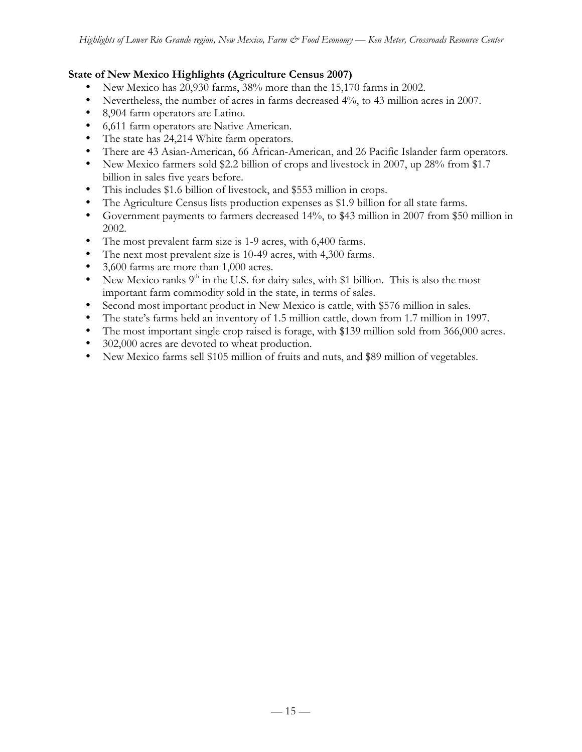#### **State of New Mexico Highlights (Agriculture Census 2007)**

New Mexico has 20,930 farms, 38% more than the 15,170 farms in 2002.

Nevertheless, the number of acres in farms decreased 4%, to 43 million acres in 2007.

8,904 farm operators are Latino.

6,611 farm operators are Native American.

The state has 24,214 White farm operators.

There are 43 Asian-American, 66 African-American, and 26 Pacific Islander farm operators. New Mexico farmers sold \$2.2 billion of crops and livestock in 2007, up 28% from \$1.7 billion in sales five years before.

This includes \$1.6 billion of livestock, and \$553 million in crops.

The Agriculture Census lists production expenses as \$1.9 billion for all state farms.

Government payments to farmers decreased 14%, to \$43 million in 2007 from \$50 million in 2002.

The most prevalent farm size is 1-9 acres, with 6,400 farms.

The next most prevalent size is 10-49 acres, with 4,300 farms.

3,600 farms are more than 1,000 acres.

New Mexico ranks  $9<sup>th</sup>$  in the U.S. for dairy sales, with \$1 billion. This is also the most important farm commodity sold in the state, in terms of sales.

Second most important product in New Mexico is cattle, with \$576 million in sales.

The state's farms held an inventory of 1.5 million cattle, down from 1.7 million in 1997.

The most important single crop raised is forage, with \$139 million sold from 366,000 acres. 302,000 acres are devoted to wheat production.

New Mexico farms sell \$105 million of fruits and nuts, and \$89 million of vegetables.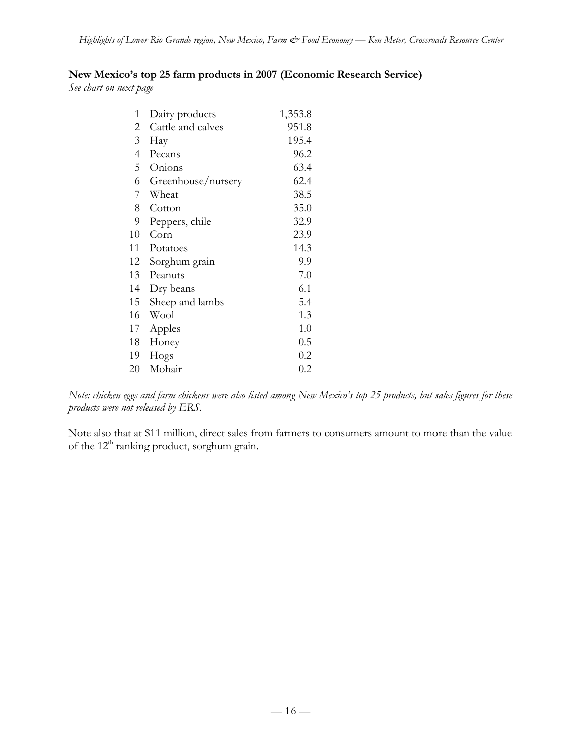### **New Mexico's top 25 farm products in 2007 (Economic Research Service)**

*See chart on next page*

| 1              | Dairy products     | 1,353.8 |
|----------------|--------------------|---------|
| 2              | Cattle and calves  | 951.8   |
| $\mathfrak{Z}$ | Hay                | 195.4   |
| 4              | Pecans             | 96.2    |
| 5              | Onions             | 63.4    |
| 6              | Greenhouse/nursery | 62.4    |
| 7              | Wheat              | 38.5    |
| 8              | Cotton             | 35.0    |
| 9              | Peppers, chile     | 32.9    |
| 10             | Corn               | 23.9    |
| 11             | Potatoes           | 14.3    |
| 12             | Sorghum grain      | 9.9     |
| 13             | Peanuts            | 7.0     |
| 14             | Dry beans          | 6.1     |
| 15             | Sheep and lambs    | 5.4     |
| 16             | Wool               | 1.3     |
| 17             | Apples             | 1.0     |
| 18             | Honey              | 0.5     |
| 19             | Hogs               | 0.2     |
| 20             | Mohair             | 0.2     |

*Note: chicken eggs and farm chickens were also listed among New Mexico's top 25 products, but sales figures for these products were not released by ERS.*

Note also that at \$11 million, direct sales from farmers to consumers amount to more than the value of the  $12<sup>th</sup>$  ranking product, sorghum grain.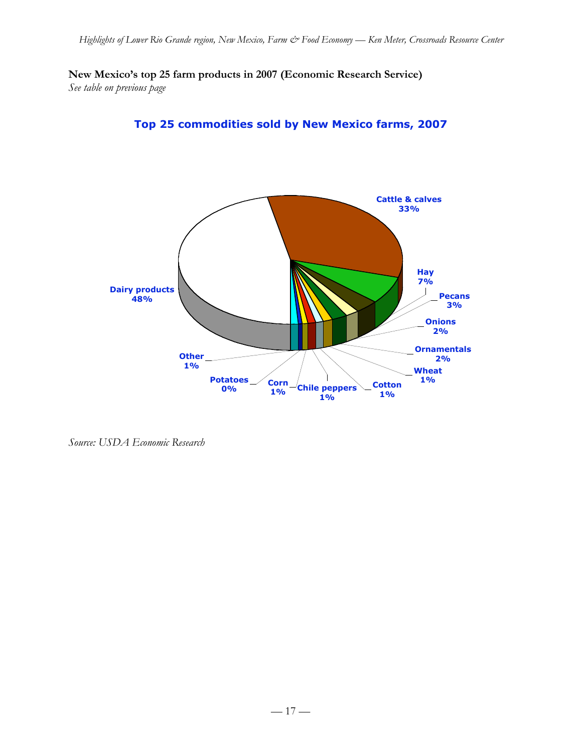**New Mexico's top 25 farm products in 2007 (Economic Research Service)** *See table on previous page*

**Top 25 commodities sold by New Mexico farms, 2007**



*Source: USDA Economic Research*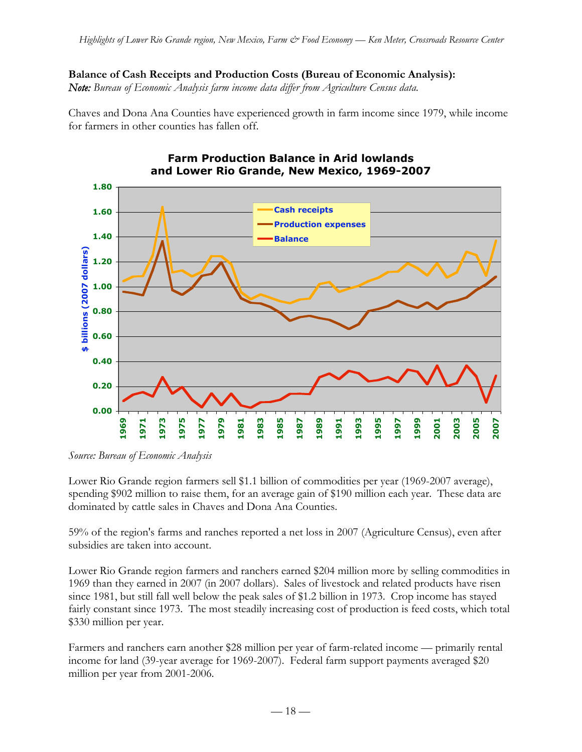# **Balance of Cash Receipts and Production Costs (Bureau of Economic Analysis):**

*Note: Bureau of Economic Analysis farm income data differ from Agriculture Census data.*

Chaves and Dona Ana Counties have experienced growth in farm income since 1979, while income for farmers in other counties has fallen off.



**Farm Production Balance in Arid lowlands** 

*Source: Bureau of Economic Analysis*

Lower Rio Grande region farmers sell \$1.1 billion of commodities per year (1969-2007 average), spending \$902 million to raise them, for an average gain of \$190 million each year. These data are dominated by cattle sales in Chaves and Dona Ana Counties.

59% of the region's farms and ranches reported a net loss in 2007 (Agriculture Census), even after subsidies are taken into account.

Lower Rio Grande region farmers and ranchers earned \$204 million more by selling commodities in 1969 than they earned in 2007 (in 2007 dollars). Sales of livestock and related products have risen since 1981, but still fall well below the peak sales of \$1.2 billion in 1973. Crop income has stayed fairly constant since 1973. The most steadily increasing cost of production is feed costs, which total \$330 million per year.

Farmers and ranchers earn another \$28 million per year of farm-related income — primarily rental income for land (39-year average for 1969-2007). Federal farm support payments averaged \$20 million per year from 2001-2006.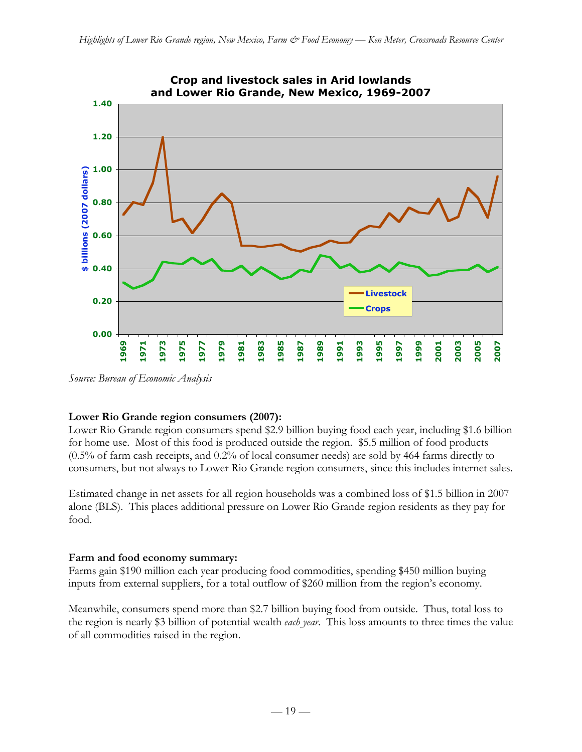

*Source: Bureau of Economic Analysis*

### **Lower Rio Grande region consumers (2007):**

Lower Rio Grande region consumers spend \$2.9 billion buying food each year, including \$1.6 billion for home use. Most of this food is produced outside the region. \$5.5 million of food products (0.5% of farm cash receipts, and 0.2% of local consumer needs) are sold by 464 farms directly to consumers, but not always to Lower Rio Grande region consumers, since this includes internet sales.

Estimated change in net assets for all region households was a combined loss of \$1.5 billion in 2007 alone (BLS). This places additional pressure on Lower Rio Grande region residents as they pay for food.

#### **Farm and food economy summary:**

Farms gain \$190 million each year producing food commodities, spending \$450 million buying inputs from external suppliers, for a total outflow of \$260 million from the region's economy.

Meanwhile, consumers spend more than \$2.7 billion buying food from outside. Thus, total loss to the region is nearly \$3 billion of potential wealth *each year*. This loss amounts to three times the value of all commodities raised in the region.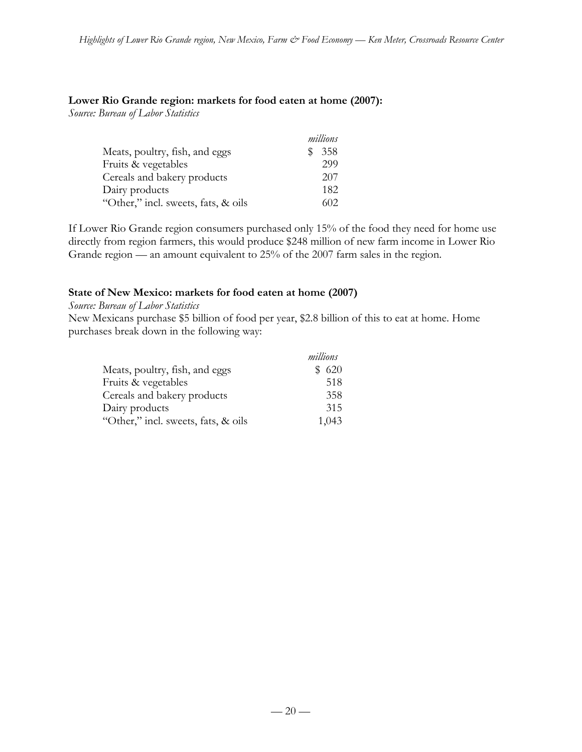#### **Lower Rio Grande region: markets for food eaten at home (2007):**

*Source: Bureau of Labor Statistics*

|                                     | millions   |
|-------------------------------------|------------|
| Meats, poultry, fish, and eggs      | 358<br>SS. |
| Fruits & vegetables                 | 299        |
| Cereals and bakery products         | 207        |
| Dairy products                      | 182        |
| "Other," incl. sweets, fats, & oils | 602        |

If Lower Rio Grande region consumers purchased only 15% of the food they need for home use directly from region farmers, this would produce \$248 million of new farm income in Lower Rio Grande region — an amount equivalent to 25% of the 2007 farm sales in the region.

#### **State of New Mexico: markets for food eaten at home (2007)**

*Source: Bureau of Labor Statistics*

New Mexicans purchase \$5 billion of food per year, \$2.8 billion of this to eat at home. Home purchases break down in the following way:

|                                     | millions |  |
|-------------------------------------|----------|--|
| Meats, poultry, fish, and eggs      | \$620    |  |
| Fruits & vegetables                 | 518      |  |
| Cereals and bakery products         | 358      |  |
| Dairy products                      | 315      |  |
| "Other," incl. sweets, fats, & oils | 1,043    |  |